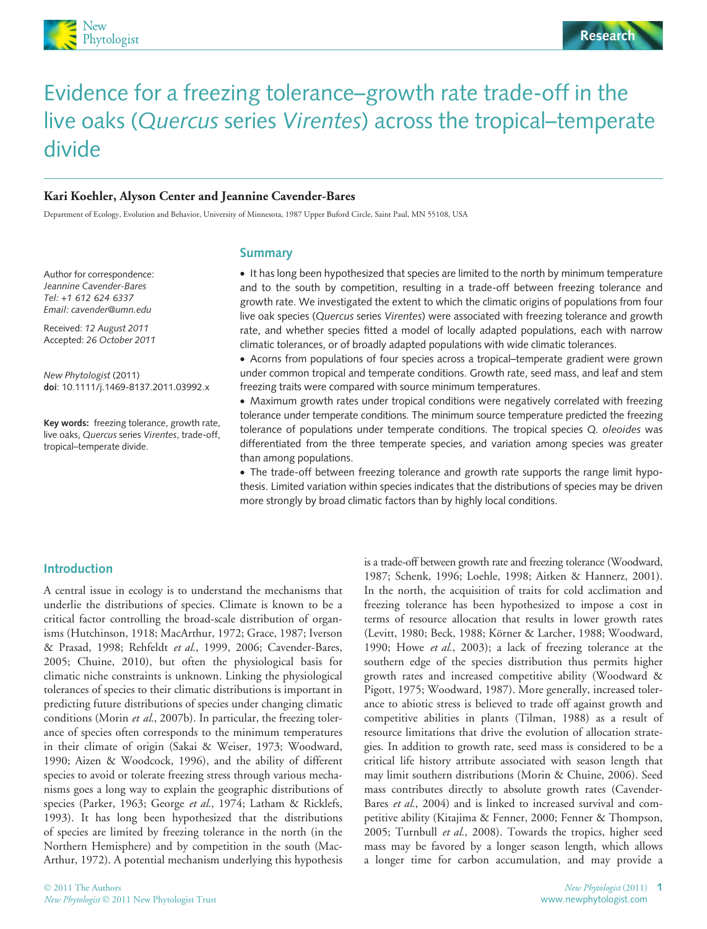



# Evidence for a freezing tolerance–growth rate trade-off in the live oaks (Quercus series Virentes) across the tropical–temperate divide

#### Kari Koehler, Alyson Center and Jeannine Cavender-Bares

Department of Ecology, Evolution and Behavior, University of Minnesota, 1987 Upper Buford Circle, Saint Paul, MN 55108, USA

#### Summary

Author for correspondence: Jeannine Cavender-Bares Tel: +1 612 624 6337 Email: cavender@umn.edu

Received: 12 August 2011 Accepted: 26 October 2011

New Phytologist (2011) doi: 10.1111/j.1469-8137.2011.03992.x

Key words: freezing tolerance, growth rate, live oaks, Quercus series Virentes, trade-off, tropical–temperate divide.

• It has long been hypothesized that species are limited to the north by minimum temperature and to the south by competition, resulting in a trade-off between freezing tolerance and growth rate. We investigated the extent to which the climatic origins of populations from four live oak species (Quercus series Virentes) were associated with freezing tolerance and growth rate, and whether species fitted a model of locally adapted populations, each with narrow climatic tolerances, or of broadly adapted populations with wide climatic tolerances.

• Acorns from populations of four species across a tropical–temperate gradient were grown under common tropical and temperate conditions. Growth rate, seed mass, and leaf and stem freezing traits were compared with source minimum temperatures.

• Maximum growth rates under tropical conditions were negatively correlated with freezing tolerance under temperate conditions. The minimum source temperature predicted the freezing tolerance of populations under temperate conditions. The tropical species Q. oleoides was differentiated from the three temperate species, and variation among species was greater than among populations.

• The trade-off between freezing tolerance and growth rate supports the range limit hypothesis. Limited variation within species indicates that the distributions of species may be driven more strongly by broad climatic factors than by highly local conditions.

# Introduction

A central issue in ecology is to understand the mechanisms that underlie the distributions of species. Climate is known to be a critical factor controlling the broad-scale distribution of organisms (Hutchinson, 1918; MacArthur, 1972; Grace, 1987; Iverson & Prasad, 1998; Rehfeldt et al., 1999, 2006; Cavender-Bares, 2005; Chuine, 2010), but often the physiological basis for climatic niche constraints is unknown. Linking the physiological tolerances of species to their climatic distributions is important in predicting future distributions of species under changing climatic conditions (Morin *et al.*, 2007b). In particular, the freezing tolerance of species often corresponds to the minimum temperatures in their climate of origin (Sakai & Weiser, 1973; Woodward, 1990; Aizen & Woodcock, 1996), and the ability of different species to avoid or tolerate freezing stress through various mechanisms goes a long way to explain the geographic distributions of species (Parker, 1963; George et al., 1974; Latham & Ricklefs, 1993). It has long been hypothesized that the distributions of species are limited by freezing tolerance in the north (in the Northern Hemisphere) and by competition in the south (Mac-Arthur, 1972). A potential mechanism underlying this hypothesis

1987; Schenk, 1996; Loehle, 1998; Aitken & Hannerz, 2001). In the north, the acquisition of traits for cold acclimation and freezing tolerance has been hypothesized to impose a cost in terms of resource allocation that results in lower growth rates (Levitt, 1980; Beck, 1988; Körner & Larcher, 1988; Woodward, 1990; Howe et al., 2003); a lack of freezing tolerance at the southern edge of the species distribution thus permits higher growth rates and increased competitive ability (Woodward & Pigott, 1975; Woodward, 1987). More generally, increased tolerance to abiotic stress is believed to trade off against growth and competitive abilities in plants (Tilman, 1988) as a result of resource limitations that drive the evolution of allocation strategies. In addition to growth rate, seed mass is considered to be a critical life history attribute associated with season length that may limit southern distributions (Morin & Chuine, 2006). Seed mass contributes directly to absolute growth rates (Cavender-Bares et al., 2004) and is linked to increased survival and competitive ability (Kitajima & Fenner, 2000; Fenner & Thompson, 2005; Turnbull et al., 2008). Towards the tropics, higher seed mass may be favored by a longer season length, which allows a longer time for carbon accumulation, and may provide a

is a trade-off between growth rate and freezing tolerance (Woodward,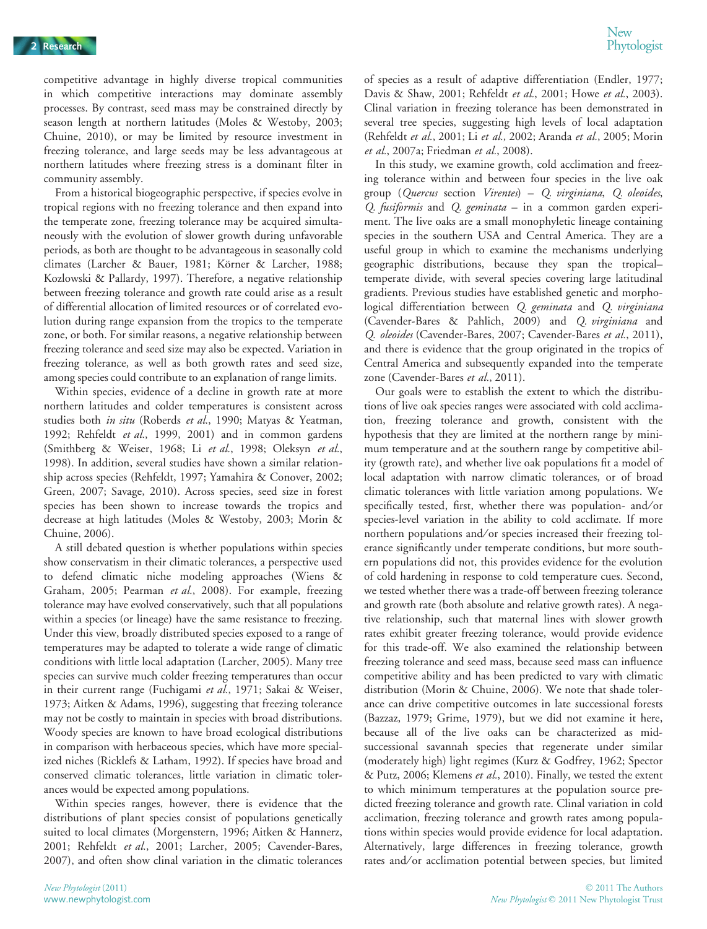competitive advantage in highly diverse tropical communities in which competitive interactions may dominate assembly processes. By contrast, seed mass may be constrained directly by season length at northern latitudes (Moles & Westoby, 2003; Chuine, 2010), or may be limited by resource investment in freezing tolerance, and large seeds may be less advantageous at northern latitudes where freezing stress is a dominant filter in community assembly.

From a historical biogeographic perspective, if species evolve in tropical regions with no freezing tolerance and then expand into the temperate zone, freezing tolerance may be acquired simultaneously with the evolution of slower growth during unfavorable periods, as both are thought to be advantageous in seasonally cold climates (Larcher & Bauer, 1981; Körner & Larcher, 1988; Kozlowski & Pallardy, 1997). Therefore, a negative relationship between freezing tolerance and growth rate could arise as a result of differential allocation of limited resources or of correlated evolution during range expansion from the tropics to the temperate zone, or both. For similar reasons, a negative relationship between freezing tolerance and seed size may also be expected. Variation in freezing tolerance, as well as both growth rates and seed size, among species could contribute to an explanation of range limits.

Within species, evidence of a decline in growth rate at more northern latitudes and colder temperatures is consistent across studies both in situ (Roberds et al., 1990; Matyas & Yeatman, 1992; Rehfeldt et al., 1999, 2001) and in common gardens (Smithberg & Weiser, 1968; Li et al., 1998; Oleksyn et al., 1998). In addition, several studies have shown a similar relationship across species (Rehfeldt, 1997; Yamahira & Conover, 2002; Green, 2007; Savage, 2010). Across species, seed size in forest species has been shown to increase towards the tropics and decrease at high latitudes (Moles & Westoby, 2003; Morin & Chuine, 2006).

A still debated question is whether populations within species show conservatism in their climatic tolerances, a perspective used to defend climatic niche modeling approaches (Wiens & Graham, 2005; Pearman et al., 2008). For example, freezing tolerance may have evolved conservatively, such that all populations within a species (or lineage) have the same resistance to freezing. Under this view, broadly distributed species exposed to a range of temperatures may be adapted to tolerate a wide range of climatic conditions with little local adaptation (Larcher, 2005). Many tree species can survive much colder freezing temperatures than occur in their current range (Fuchigami et al., 1971; Sakai & Weiser, 1973; Aitken & Adams, 1996), suggesting that freezing tolerance may not be costly to maintain in species with broad distributions. Woody species are known to have broad ecological distributions in comparison with herbaceous species, which have more specialized niches (Ricklefs & Latham, 1992). If species have broad and conserved climatic tolerances, little variation in climatic tolerances would be expected among populations.

Within species ranges, however, there is evidence that the distributions of plant species consist of populations genetically suited to local climates (Morgenstern, 1996; Aitken & Hannerz, 2001; Rehfeldt et al., 2001; Larcher, 2005; Cavender-Bares, 2007), and often show clinal variation in the climatic tolerances

of species as a result of adaptive differentiation (Endler, 1977; Davis & Shaw, 2001; Rehfeldt et al., 2001; Howe et al., 2003). Clinal variation in freezing tolerance has been demonstrated in several tree species, suggesting high levels of local adaptation (Rehfeldt et al., 2001; Li et al., 2002; Aranda et al., 2005; Morin et al., 2007a; Friedman et al., 2008).

In this study, we examine growth, cold acclimation and freezing tolerance within and between four species in the live oak group (Quercus section Virentes) – Q. virginiana, Q. oleoides, Q. fusiformis and Q. geminata – in a common garden experiment. The live oaks are a small monophyletic lineage containing species in the southern USA and Central America. They are a useful group in which to examine the mechanisms underlying geographic distributions, because they span the tropical– temperate divide, with several species covering large latitudinal gradients. Previous studies have established genetic and morphological differentiation between Q. geminata and Q. virginiana (Cavender-Bares & Pahlich, 2009) and Q. virginiana and Q. oleoides (Cavender-Bares, 2007; Cavender-Bares et al., 2011), and there is evidence that the group originated in the tropics of Central America and subsequently expanded into the temperate zone (Cavender-Bares et al., 2011).

Our goals were to establish the extent to which the distributions of live oak species ranges were associated with cold acclimation, freezing tolerance and growth, consistent with the hypothesis that they are limited at the northern range by minimum temperature and at the southern range by competitive ability (growth rate), and whether live oak populations fit a model of local adaptation with narrow climatic tolerances, or of broad climatic tolerances with little variation among populations. We specifically tested, first, whether there was population- and/or species-level variation in the ability to cold acclimate. If more northern populations and/or species increased their freezing tolerance significantly under temperate conditions, but more southern populations did not, this provides evidence for the evolution of cold hardening in response to cold temperature cues. Second, we tested whether there was a trade-off between freezing tolerance and growth rate (both absolute and relative growth rates). A negative relationship, such that maternal lines with slower growth rates exhibit greater freezing tolerance, would provide evidence for this trade-off. We also examined the relationship between freezing tolerance and seed mass, because seed mass can influence competitive ability and has been predicted to vary with climatic distribution (Morin & Chuine, 2006). We note that shade tolerance can drive competitive outcomes in late successional forests (Bazzaz, 1979; Grime, 1979), but we did not examine it here, because all of the live oaks can be characterized as midsuccessional savannah species that regenerate under similar (moderately high) light regimes (Kurz & Godfrey, 1962; Spector & Putz, 2006; Klemens et al., 2010). Finally, we tested the extent to which minimum temperatures at the population source predicted freezing tolerance and growth rate. Clinal variation in cold acclimation, freezing tolerance and growth rates among populations within species would provide evidence for local adaptation. Alternatively, large differences in freezing tolerance, growth rates and/or acclimation potential between species, but limited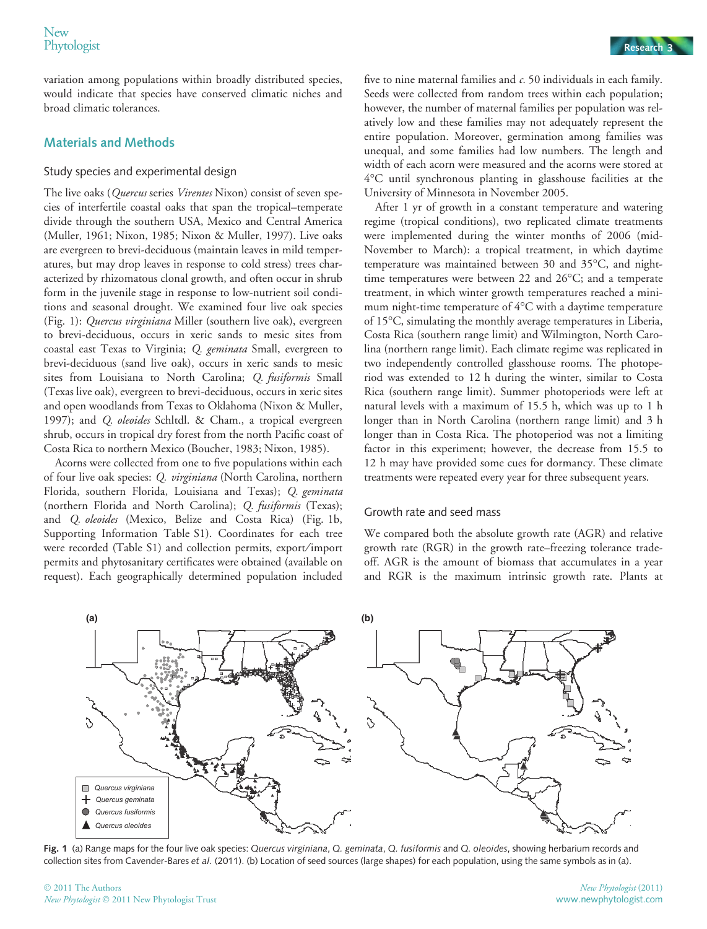variation among populations within broadly distributed species, would indicate that species have conserved climatic niches and broad climatic tolerances.

# Materials and Methods

#### Study species and experimental design

The live oaks (Quercus series Virentes Nixon) consist of seven species of interfertile coastal oaks that span the tropical–temperate divide through the southern USA, Mexico and Central America (Muller, 1961; Nixon, 1985; Nixon & Muller, 1997). Live oaks are evergreen to brevi-deciduous (maintain leaves in mild temperatures, but may drop leaves in response to cold stress) trees characterized by rhizomatous clonal growth, and often occur in shrub form in the juvenile stage in response to low-nutrient soil conditions and seasonal drought. We examined four live oak species (Fig. 1): Quercus virginiana Miller (southern live oak), evergreen to brevi-deciduous, occurs in xeric sands to mesic sites from coastal east Texas to Virginia; Q. geminata Small, evergreen to brevi-deciduous (sand live oak), occurs in xeric sands to mesic sites from Louisiana to North Carolina; Q. fusiformis Small (Texas live oak), evergreen to brevi-deciduous, occurs in xeric sites and open woodlands from Texas to Oklahoma (Nixon & Muller, 1997); and Q. oleoides Schltdl. & Cham., a tropical evergreen shrub, occurs in tropical dry forest from the north Pacific coast of Costa Rica to northern Mexico (Boucher, 1983; Nixon, 1985).

Acorns were collected from one to five populations within each of four live oak species: Q. virginiana (North Carolina, northern Florida, southern Florida, Louisiana and Texas); Q. geminata (northern Florida and North Carolina); Q. fusiformis (Texas); and Q. oleoides (Mexico, Belize and Costa Rica) (Fig. 1b, Supporting Information Table S1). Coordinates for each tree were recorded (Table S1) and collection permits, export⁄ import permits and phytosanitary certificates were obtained (available on request). Each geographically determined population included

five to nine maternal families and  $c$ . 50 individuals in each family. Seeds were collected from random trees within each population; however, the number of maternal families per population was relatively low and these families may not adequately represent the entire population. Moreover, germination among families was unequal, and some families had low numbers. The length and width of each acorn were measured and the acorns were stored at 4"C until synchronous planting in glasshouse facilities at the University of Minnesota in November 2005.

After 1 yr of growth in a constant temperature and watering regime (tropical conditions), two replicated climate treatments were implemented during the winter months of 2006 (mid-November to March): a tropical treatment, in which daytime temperature was maintained between 30 and 35°C, and nighttime temperatures were between 22 and 26°C; and a temperate treatment, in which winter growth temperatures reached a minimum night-time temperature of 4"C with a daytime temperature of 15"C, simulating the monthly average temperatures in Liberia, Costa Rica (southern range limit) and Wilmington, North Carolina (northern range limit). Each climate regime was replicated in two independently controlled glasshouse rooms. The photoperiod was extended to 12 h during the winter, similar to Costa Rica (southern range limit). Summer photoperiods were left at natural levels with a maximum of 15.5 h, which was up to 1 h longer than in North Carolina (northern range limit) and 3 h longer than in Costa Rica. The photoperiod was not a limiting factor in this experiment; however, the decrease from 15.5 to 12 h may have provided some cues for dormancy. These climate treatments were repeated every year for three subsequent years.

# Growth rate and seed mass

We compared both the absolute growth rate (AGR) and relative growth rate (RGR) in the growth rate–freezing tolerance tradeoff. AGR is the amount of biomass that accumulates in a year and RGR is the maximum intrinsic growth rate. Plants at



Fig. 1 (a) Range maps for the four live oak species: Quercus virginiana, Q. geminata, Q. fusiformis and Q. oleoides, showing herbarium records and collection sites from Cavender-Bares et al. (2011). (b) Location of seed sources (large shapes) for each population, using the same symbols as in (a).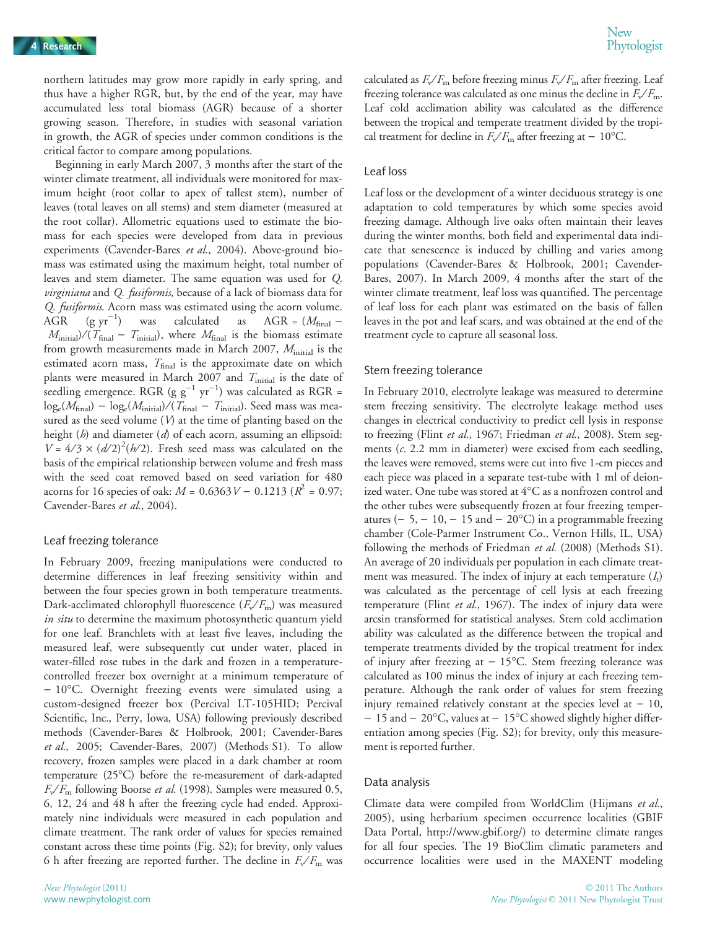northern latitudes may grow more rapidly in early spring, and thus have a higher RGR, but, by the end of the year, may have accumulated less total biomass (AGR) because of a shorter growing season. Therefore, in studies with seasonal variation in growth, the AGR of species under common conditions is the critical factor to compare among populations.

Beginning in early March 2007, 3 months after the start of the winter climate treatment, all individuals were monitored for maximum height (root collar to apex of tallest stem), number of leaves (total leaves on all stems) and stem diameter (measured at the root collar). Allometric equations used to estimate the biomass for each species were developed from data in previous experiments (Cavender-Bares et al., 2004). Above-ground biomass was estimated using the maximum height, total number of leaves and stem diameter. The same equation was used for Q. virginiana and Q. fusiformis, because of a lack of biomass data for Q. fusiformis. Acorn mass was estimated using the acorn volume. AGR  $(g yr^{-1})$  was calculated as  $AGR = (M<sub>final</sub> M_{\text{initial}}/(T_{\text{final}} - T_{\text{initial}})$ , where  $M_{\text{final}}$  is the biomass estimate from growth measurements made in March 2007,  $M<sub>initial</sub>$  is the estimated acorn mass,  $T_{\text{final}}$  is the approximate date on which plants were measured in March 2007 and  $T_{\text{initial}}$  is the date of seedling emergence. RGR (g  $g^{-1}$  yr $^{-1})$  was calculated as RGR =  $log_e(M<sub>final</sub>) - log_e(M<sub>initial</sub>)/(T<sub>final</sub> - T<sub>initial</sub>)$ . Seed mass was measured as the seed volume  $(V)$  at the time of planting based on the height  $(h)$  and diameter  $(d)$  of each acorn, assuming an ellipsoid:  $V = 4/3 \times (d/2)^2 (h/2)$ . Fresh seed mass was calculated on the basis of the empirical relationship between volume and fresh mass with the seed coat removed based on seed variation for 480 acorns for 16 species of oak:  $M = 0.6363V - 0.1213 (R^2 = 0.97;$ Cavender-Bares et al., 2004).

#### Leaf freezing tolerance

In February 2009, freezing manipulations were conducted to determine differences in leaf freezing sensitivity within and between the four species grown in both temperature treatments. Dark-acclimated chlorophyll fluorescence  $(F_v/F_m)$  was measured in situ to determine the maximum photosynthetic quantum yield for one leaf. Branchlets with at least five leaves, including the measured leaf, were subsequently cut under water, placed in water-filled rose tubes in the dark and frozen in a temperaturecontrolled freezer box overnight at a minimum temperature of  $-10^{\circ}$ C. Overnight freezing events were simulated using a custom-designed freezer box (Percival LT-105HID; Percival Scientific, Inc., Perry, Iowa, USA) following previously described methods (Cavender-Bares & Holbrook, 2001; Cavender-Bares et al., 2005; Cavender-Bares, 2007) (Methods S1). To allow recovery, frozen samples were placed in a dark chamber at room temperature (25"C) before the re-measurement of dark-adapted  $F_{\rm v}/F_{\rm m}$  following Boorse et al. (1998). Samples were measured 0.5, 6, 12, 24 and 48 h after the freezing cycle had ended. Approximately nine individuals were measured in each population and climate treatment. The rank order of values for species remained constant across these time points (Fig. S2); for brevity, only values 6 h after freezing are reported further. The decline in  $F_v/F_m$  was

calculated as  $F_v/F_m$  before freezing minus  $F_v/F_m$  after freezing. Leaf freezing tolerance was calculated as one minus the decline in  $F_v/F_m$ . Leaf cold acclimation ability was calculated as the difference between the tropical and temperate treatment divided by the tropical treatment for decline in  $F_v/F_m$  after freezing at - 10°C.

#### Leaf loss

Leaf loss or the development of a winter deciduous strategy is one adaptation to cold temperatures by which some species avoid freezing damage. Although live oaks often maintain their leaves during the winter months, both field and experimental data indicate that senescence is induced by chilling and varies among populations (Cavender-Bares & Holbrook, 2001; Cavender-Bares, 2007). In March 2009, 4 months after the start of the winter climate treatment, leaf loss was quantified. The percentage of leaf loss for each plant was estimated on the basis of fallen leaves in the pot and leaf scars, and was obtained at the end of the treatment cycle to capture all seasonal loss.

#### Stem freezing tolerance

In February 2010, electrolyte leakage was measured to determine stem freezing sensitivity. The electrolyte leakage method uses changes in electrical conductivity to predict cell lysis in response to freezing (Flint et al., 1967; Friedman et al., 2008). Stem segments (c. 2.2 mm in diameter) were excised from each seedling, the leaves were removed, stems were cut into five 1-cm pieces and each piece was placed in a separate test-tube with 1 ml of deionized water. One tube was stored at 4°C as a nonfrozen control and the other tubes were subsequently frozen at four freezing temperatures  $(-5, -10, -15$  and  $-20^{\circ}$ C) in a programmable freezing chamber (Cole-Parmer Instrument Co., Vernon Hills, IL, USA) following the methods of Friedman et al. (2008) (Methods S1). An average of 20 individuals per population in each climate treatment was measured. The index of injury at each temperature  $(I_t)$ was calculated as the percentage of cell lysis at each freezing temperature (Flint et al., 1967). The index of injury data were arcsin transformed for statistical analyses. Stem cold acclimation ability was calculated as the difference between the tropical and temperate treatments divided by the tropical treatment for index of injury after freezing at  $- 15$ °C. Stem freezing tolerance was calculated as 100 minus the index of injury at each freezing temperature. Although the rank order of values for stem freezing injury remained relatively constant at the species level at  $-10$ ,  $-15$  and  $-20^{\circ}$ C, values at  $-15^{\circ}$ C showed slightly higher differentiation among species (Fig. S2); for brevity, only this measurement is reported further.

#### Data analysis

Climate data were compiled from WorldClim (Hijmans et al., 2005), using herbarium specimen occurrence localities (GBIF Data Portal, http://www.gbif.org/) to determine climate ranges for all four species. The 19 BioClim climatic parameters and occurrence localities were used in the MAXENT modeling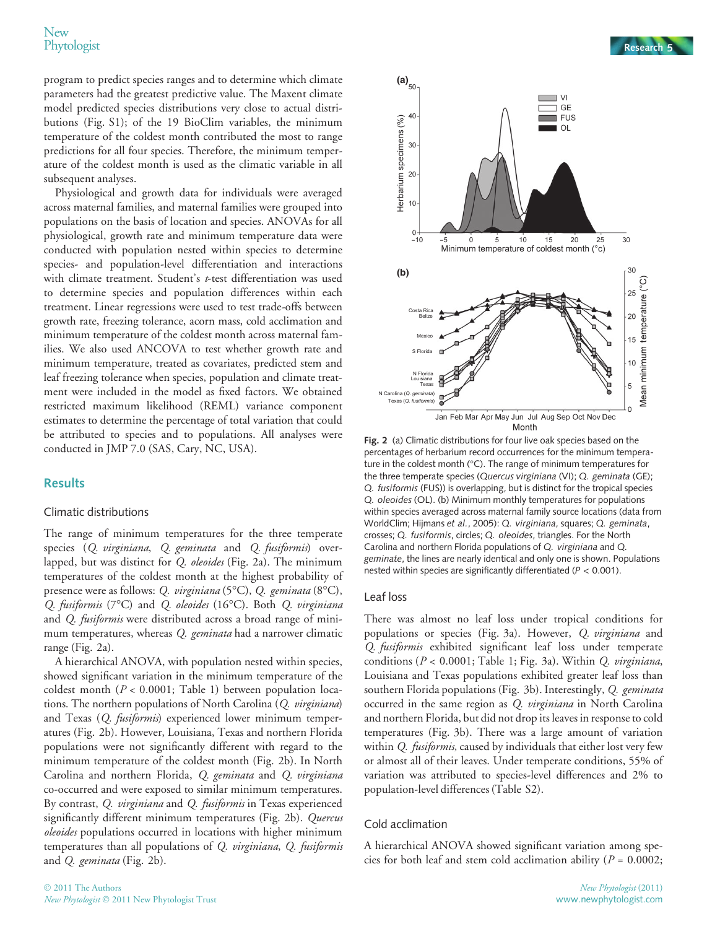program to predict species ranges and to determine which climate parameters had the greatest predictive value. The Maxent climate model predicted species distributions very close to actual distributions (Fig. S1); of the 19 BioClim variables, the minimum temperature of the coldest month contributed the most to range predictions for all four species. Therefore, the minimum temperature of the coldest month is used as the climatic variable in all subsequent analyses.

Physiological and growth data for individuals were averaged across maternal families, and maternal families were grouped into populations on the basis of location and species. ANOVAs for all physiological, growth rate and minimum temperature data were conducted with population nested within species to determine species- and population-level differentiation and interactions with climate treatment. Student's t-test differentiation was used to determine species and population differences within each treatment. Linear regressions were used to test trade-offs between growth rate, freezing tolerance, acorn mass, cold acclimation and minimum temperature of the coldest month across maternal families. We also used ANCOVA to test whether growth rate and minimum temperature, treated as covariates, predicted stem and leaf freezing tolerance when species, population and climate treatment were included in the model as fixed factors. We obtained restricted maximum likelihood (REML) variance component estimates to determine the percentage of total variation that could be attributed to species and to populations. All analyses were conducted in JMP 7.0 (SAS, Cary, NC, USA).

# **Results**

# Climatic distributions

The range of minimum temperatures for the three temperate species (Q. virginiana, Q. geminata and Q. fusiformis) overlapped, but was distinct for Q. oleoides (Fig. 2a). The minimum temperatures of the coldest month at the highest probability of presence were as follows: Q. virginiana  $(5^{\circ}C)$ , Q. geminata  $(8^{\circ}C)$ , Q. fusiformis  $(7^{\circ}C)$  and Q. oleoides (16 $^{\circ}C$ ). Both Q. virginiana and Q. fusiformis were distributed across a broad range of minimum temperatures, whereas Q. geminata had a narrower climatic range (Fig. 2a).

A hierarchical ANOVA, with population nested within species, showed significant variation in the minimum temperature of the coldest month ( $P < 0.0001$ ; Table 1) between population locations. The northern populations of North Carolina (Q. virginiana) and Texas (Q. fusiformis) experienced lower minimum temperatures (Fig. 2b). However, Louisiana, Texas and northern Florida populations were not significantly different with regard to the minimum temperature of the coldest month (Fig. 2b). In North Carolina and northern Florida, Q. geminata and Q. virginiana co-occurred and were exposed to similar minimum temperatures. By contrast, Q. virginiana and Q. fusiformis in Texas experienced significantly different minimum temperatures (Fig. 2b). Quercus oleoides populations occurred in locations with higher minimum temperatures than all populations of Q. virginiana, Q. fusiformis and Q. geminata (Fig. 2b).



Fig. 2 (a) Climatic distributions for four live oak species based on the percentages of herbarium record occurrences for the minimum temperature in the coldest month (°C). The range of minimum temperatures for the three temperate species (Quercus virginiana (VI); Q. geminata (GE); Q. fusiformis (FUS)) is overlapping, but is distinct for the tropical species Q. oleoides (OL). (b) Minimum monthly temperatures for populations within species averaged across maternal family source locations (data from WorldClim; Hijmans et al., 2005): Q. virginiana, squares; Q. geminata, crosses; Q. fusiformis, circles; Q. oleoides, triangles. For the North Carolina and northern Florida populations of Q. virginiana and Q. geminate, the lines are nearly identical and only one is shown. Populations nested within species are significantly differentiated ( $P < 0.001$ ).

#### Leaf loss

There was almost no leaf loss under tropical conditions for populations or species (Fig. 3a). However, Q. virginiana and Q. fusiformis exhibited significant leaf loss under temperate conditions ( $P < 0.0001$ ; Table 1; Fig. 3a). Within Q. virginiana, Louisiana and Texas populations exhibited greater leaf loss than southern Florida populations (Fig. 3b). Interestingly, Q. geminata occurred in the same region as Q. virginiana in North Carolina and northern Florida, but did not drop its leaves in response to cold temperatures (Fig. 3b). There was a large amount of variation within Q. fusiformis, caused by individuals that either lost very few or almost all of their leaves. Under temperate conditions, 55% of variation was attributed to species-level differences and 2% to population-level differences (Table S2).

# Cold acclimation

A hierarchical ANOVA showed significant variation among species for both leaf and stem cold acclimation ability ( $P = 0.0002$ ;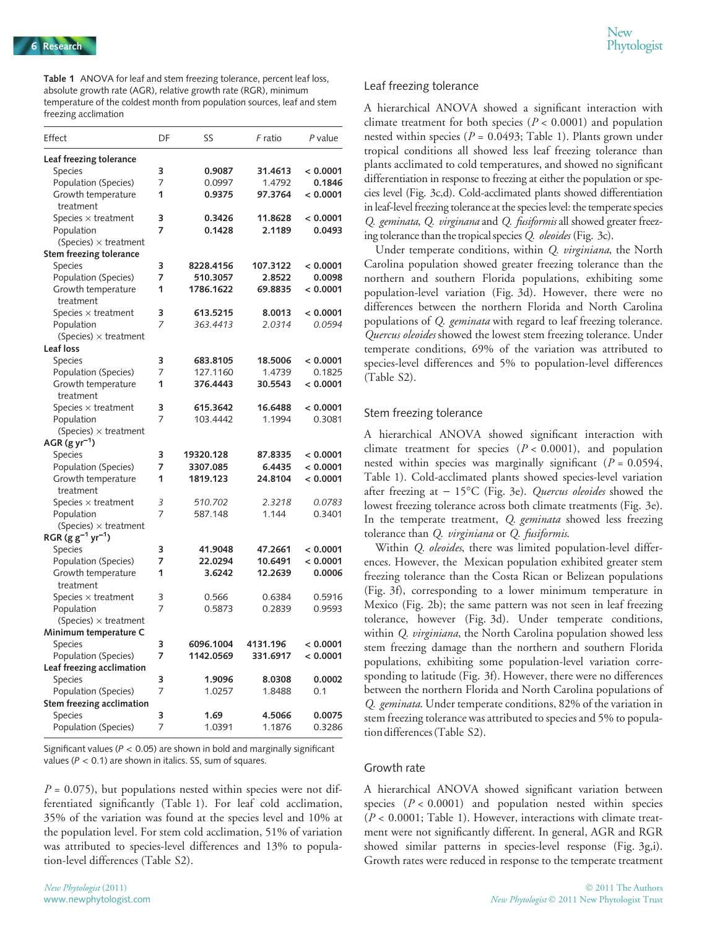Table 1 ANOVA for leaf and stem freezing tolerance, percent leaf loss, absolute growth rate (AGR), relative growth rate (RGR), minimum temperature of the coldest month from population sources, leaf and stem freezing acclimation

| Effect                       | DF | SS        | F ratio  | P value  |
|------------------------------|----|-----------|----------|----------|
| Leaf freezing tolerance      |    |           |          |          |
| Species                      | з  | 0.9087    | 31.4613  | < 0.0001 |
| Population (Species)         | 7  | 0.0997    | 1.4792   | 0.1846   |
| Growth temperature           | 1  | 0.9375    | 97.3764  | < 0.0001 |
| treatment                    |    |           |          |          |
| Species $\times$ treatment   | з  | 0.3426    | 11.8628  | < 0.0001 |
| Population                   | 7  | 0.1428    | 2.1189   | 0.0493   |
| (Species) $\times$ treatment |    |           |          |          |
| Stem freezing tolerance      |    |           |          |          |
| Species                      | 3  | 8228.4156 | 107.3122 | < 0.0001 |
| Population (Species)         | 7  | 510.3057  | 2.8522   | 0.0098   |
| Growth temperature           | 1  | 1786.1622 | 69.8835  | < 0.0001 |
| treatment                    |    |           |          |          |
| Species $\times$ treatment   | з  | 613.5215  | 8.0013   | < 0.0001 |
| Population                   | 7  | 363.4413  | 2.0314   | 0.0594   |
| (Species) $\times$ treatment |    |           |          |          |
| Leaf loss                    |    |           |          |          |
| <b>Species</b>               | 3  | 683.8105  | 18.5006  | < 0.0001 |
| Population (Species)         | 7  | 127.1160  | 1.4739   | 0.1825   |
| Growth temperature           | 1  | 376.4443  | 30.5543  | < 0.0001 |
| treatment                    |    |           |          |          |
| Species $\times$ treatment   | 3  | 615.3642  | 16.6488  | < 0.0001 |
| Population                   | 7  | 103.4442  | 1.1994   | 0.3081   |
| (Species) $\times$ treatment |    |           |          |          |
| AGR $(g yr^{-1})$            |    |           |          |          |
| Species                      | 3  | 19320.128 | 87.8335  | < 0.0001 |
| Population (Species)         | 7  | 3307.085  | 6.4435   | < 0.0001 |
| Growth temperature           | 1  | 1819.123  | 24.8104  | < 0.0001 |
| treatment                    |    |           |          |          |
| Species $\times$ treatment   | 3  | 510.702   | 2.3218   | 0.0783   |
| Population                   | 7  | 587.148   | 1.144    | 0.3401   |
| (Species) $\times$ treatment |    |           |          |          |
| RGR $(g g^{-1} yr^{-1})$     |    |           |          |          |
| Species                      | з  | 41.9048   | 47.2661  | < 0.0001 |
| Population (Species)         | 7  | 22.0294   | 10.6491  | < 0.0001 |
| Growth temperature           | 1  | 3.6242    | 12.2639  | 0.0006   |
| treatment                    |    |           |          |          |
| Species $\times$ treatment   | 3  | 0.566     | 0.6384   | 0.5916   |
| Population                   | 7  | 0.5873    | 0.2839   | 0.9593   |
| $(Species) \times treatment$ |    |           |          |          |
| Minimum temperature C        |    |           |          |          |
| Species                      | 3  | 6096.1004 | 4131.196 | < 0.0001 |
| Population (Species)         | 7  | 1142.0569 | 331.6917 | < 0.0001 |
| Leaf freezing acclimation    |    |           |          |          |
| Species                      | з  | 1.9096    | 8.0308   | 0.0002   |
| Population (Species)         | 7  | 1.0257    | 1.8488   | 0.1      |
| Stem freezing acclimation    |    |           |          |          |
| Species                      | з  | 1.69      | 4.5066   | 0.0075   |
| Population (Species)         | 7  | 1.0391    | 1.1876   | 0.3286   |

Significant values ( $P < 0.05$ ) are shown in bold and marginally significant values ( $P < 0.1$ ) are shown in italics. SS, sum of squares.

 $P = 0.075$ , but populations nested within species were not differentiated significantly (Table 1). For leaf cold acclimation, 35% of the variation was found at the species level and 10% at the population level. For stem cold acclimation, 51% of variation was attributed to species-level differences and 13% to population-level differences (Table S2).

#### Leaf freezing tolerance

A hierarchical ANOVA showed a significant interaction with climate treatment for both species ( $P < 0.0001$ ) and population nested within species ( $P = 0.0493$ ; Table 1). Plants grown under tropical conditions all showed less leaf freezing tolerance than plants acclimated to cold temperatures, and showed no significant differentiation in response to freezing at either the population or species level (Fig. 3c,d). Cold-acclimated plants showed differentiation in leaf-level freezing tolerance at the species level: the temperate species Q. geminata, Q. virginana and Q. fusiformis all showed greater freezing tolerance than the tropical species Q. oleoides (Fig. 3c).

Under temperate conditions, within Q. virginiana, the North Carolina population showed greater freezing tolerance than the northern and southern Florida populations, exhibiting some population-level variation (Fig. 3d). However, there were no differences between the northern Florida and North Carolina populations of Q. geminata with regard to leaf freezing tolerance. Quercus oleoides showed the lowest stem freezing tolerance. Under temperate conditions, 69% of the variation was attributed to species-level differences and 5% to population-level differences (Table S2).

#### Stem freezing tolerance

A hierarchical ANOVA showed significant interaction with climate treatment for species ( $P < 0.0001$ ), and population nested within species was marginally significant ( $P = 0.0594$ , Table 1). Cold-acclimated plants showed species-level variation after freezing at  $-15^{\circ}$ C (Fig. 3e). *Quercus oleoides* showed the lowest freezing tolerance across both climate treatments (Fig. 3e). In the temperate treatment, Q. geminata showed less freezing tolerance than Q. virginiana or Q. fusiformis.

Within Q. oleoides, there was limited population-level differences. However, the Mexican population exhibited greater stem freezing tolerance than the Costa Rican or Belizean populations (Fig. 3f), corresponding to a lower minimum temperature in Mexico (Fig. 2b); the same pattern was not seen in leaf freezing tolerance, however (Fig. 3d). Under temperate conditions, within Q. virginiana, the North Carolina population showed less stem freezing damage than the northern and southern Florida populations, exhibiting some population-level variation corresponding to latitude (Fig. 3f). However, there were no differences between the northern Florida and North Carolina populations of Q. geminata. Under temperate conditions, 82% of the variation in stem freezing tolerance was attributed to species and 5% to population differences (Table S2).

# Growth rate

A hierarchical ANOVA showed significant variation between species  $(P < 0.0001)$  and population nested within species  $(P < 0.0001$ ; Table 1). However, interactions with climate treatment were not significantly different. In general, AGR and RGR showed similar patterns in species-level response (Fig. 3g,i). Growth rates were reduced in response to the temperate treatment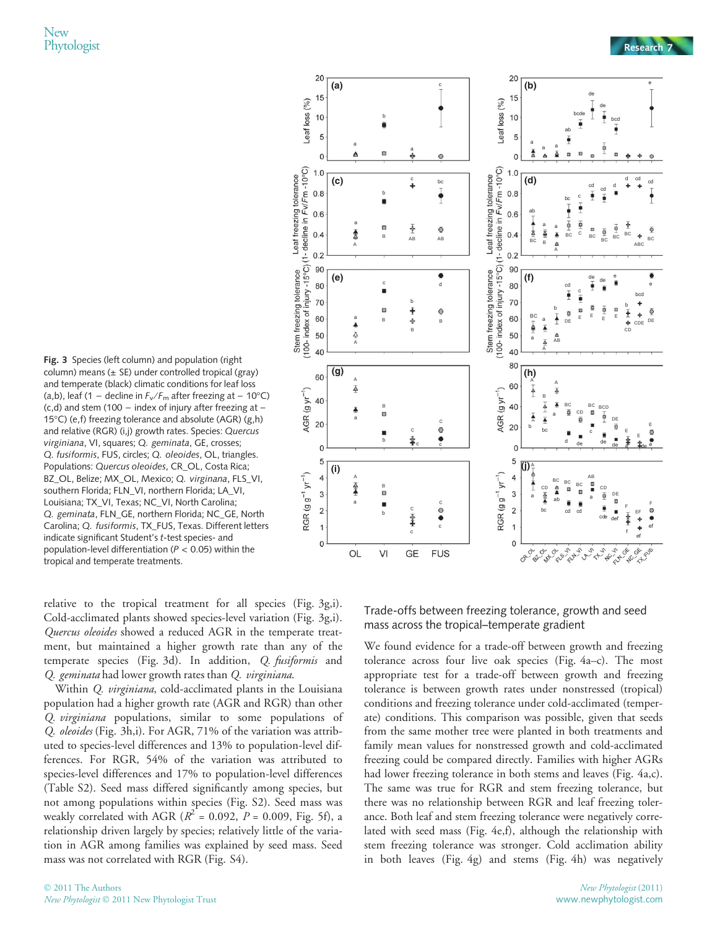

Fig. 3 Species (left column) and population (right column) means  $(\pm$  SE) under controlled tropical (gray) and temperate (black) climatic conditions for leaf loss (a,b), leaf (1 – decline in  $F_v/F_m$  after freezing at – 10°C) (c,d) and stem (100 – index of injury after freezing at – 15"C) (e,f) freezing tolerance and absolute (AGR) (g,h) and relative (RGR) (i,j) growth rates. Species: Quercus virginiana, VI, squares; Q. geminata, GE, crosses; Q. fusiformis, FUS, circles; Q. oleoides, OL, triangles. Populations: Quercus oleoides, CR\_OL, Costa Rica; BZ\_OL, Belize; MX\_OL, Mexico; Q. virginana, FLS\_VI, southern Florida; FLN\_VI, northern Florida; LA\_VI, Louisiana; TX\_VI, Texas; NC\_VI, North Carolina; Q. geminata, FLN\_GE, northern Florida; NC\_GE, North Carolina; Q. fusiformis, TX\_FUS, Texas. Different letters indicate significant Student's t-test species- and population-level differentiation ( $P < 0.05$ ) within the tropical and temperate treatments.

relative to the tropical treatment for all species (Fig. 3g,i). Cold-acclimated plants showed species-level variation (Fig. 3g,i). Quercus oleoides showed a reduced AGR in the temperate treatment, but maintained a higher growth rate than any of the temperate species (Fig. 3d). In addition, Q. fusiformis and Q. geminata had lower growth rates than Q. virginiana.

Within Q. virginiana, cold-acclimated plants in the Louisiana population had a higher growth rate (AGR and RGR) than other Q. virginiana populations, similar to some populations of Q. oleoides (Fig. 3h,i). For AGR, 71% of the variation was attributed to species-level differences and 13% to population-level differences. For RGR, 54% of the variation was attributed to species-level differences and 17% to population-level differences (Table S2). Seed mass differed significantly among species, but not among populations within species (Fig. S2). Seed mass was weakly correlated with AGR ( $R^2$  = 0.092,  $P$  = 0.009, Fig. 5f), a relationship driven largely by species; relatively little of the variation in AGR among families was explained by seed mass. Seed mass was not correlated with RGR (Fig. S4).

Trade-offs between freezing tolerance, growth and seed mass across the tropical–temperate gradient

We found evidence for a trade-off between growth and freezing tolerance across four live oak species (Fig. 4a–c). The most appropriate test for a trade-off between growth and freezing tolerance is between growth rates under nonstressed (tropical) conditions and freezing tolerance under cold-acclimated (temperate) conditions. This comparison was possible, given that seeds from the same mother tree were planted in both treatments and family mean values for nonstressed growth and cold-acclimated freezing could be compared directly. Families with higher AGRs had lower freezing tolerance in both stems and leaves (Fig. 4a,c). The same was true for RGR and stem freezing tolerance, but there was no relationship between RGR and leaf freezing tolerance. Both leaf and stem freezing tolerance were negatively correlated with seed mass (Fig. 4e,f), although the relationship with stem freezing tolerance was stronger. Cold acclimation ability in both leaves (Fig. 4g) and stems (Fig. 4h) was negatively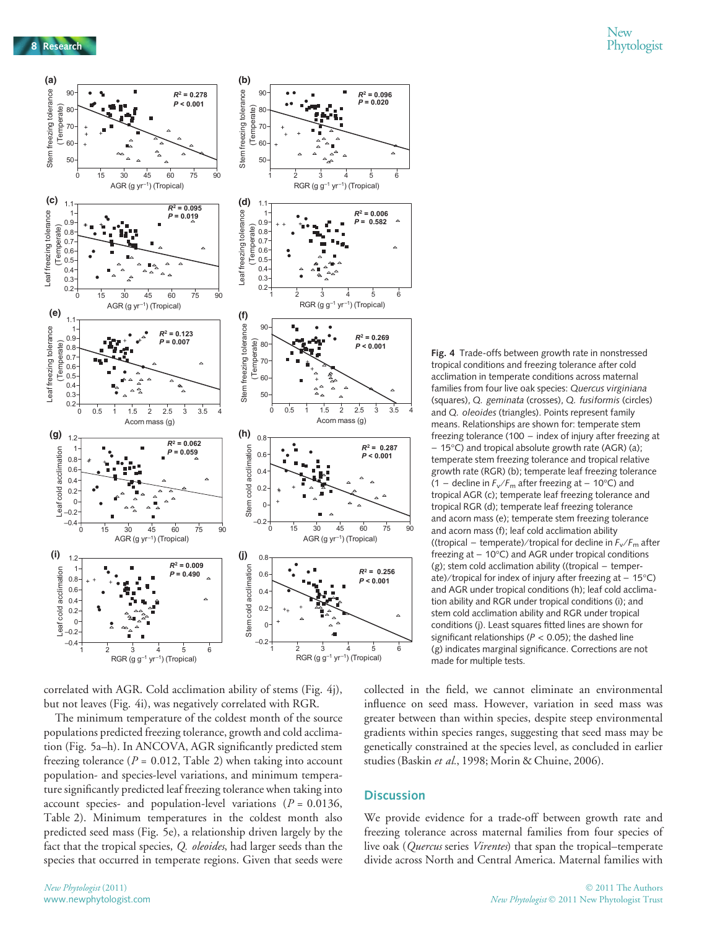

correlated with AGR. Cold acclimation ability of stems (Fig. 4j), but not leaves (Fig. 4i), was negatively correlated with RGR.

The minimum temperature of the coldest month of the source populations predicted freezing tolerance, growth and cold acclimation (Fig. 5a–h). In ANCOVA, AGR significantly predicted stem freezing tolerance ( $P = 0.012$ , Table 2) when taking into account population- and species-level variations, and minimum temperature significantly predicted leaf freezing tolerance when taking into account species- and population-level variations ( $P = 0.0136$ , Table 2). Minimum temperatures in the coldest month also predicted seed mass (Fig. 5e), a relationship driven largely by the fact that the tropical species, Q. oleoides, had larger seeds than the species that occurred in temperate regions. Given that seeds were

Fig. 4 Trade-offs between growth rate in nonstressed tropical conditions and freezing tolerance after cold acclimation in temperate conditions across maternal families from four live oak species: Quercus virginiana (squares), Q. geminata (crosses), Q. fusiformis (circles) and Q. oleoides (triangles). Points represent family means. Relationships are shown for: temperate stem freezing tolerance (100  $-$  index of injury after freezing at  $-15^{\circ}$ C) and tropical absolute growth rate (AGR) (a); temperate stem freezing tolerance and tropical relative growth rate (RGR) (b); temperate leaf freezing tolerance (1 – decline in  $F_v/F_m$  after freezing at – 10°C) and tropical AGR (c); temperate leaf freezing tolerance and tropical RGR (d); temperate leaf freezing tolerance and acorn mass (e); temperate stem freezing tolerance and acorn mass (f); leaf cold acclimation ability ((tropical – temperate)/tropical for decline in  $F_v/F_m$  after freezing at  $-10^{\circ}$ C) and AGR under tropical conditions (g); stem cold acclimation ability ((tropical  $-$  temperate)/tropical for index of injury after freezing at  $-15^{\circ}$ C) and AGR under tropical conditions (h); leaf cold acclimation ability and RGR under tropical conditions (i); and stem cold acclimation ability and RGR under tropical conditions (j). Least squares fitted lines are shown for significant relationships ( $P < 0.05$ ); the dashed line (g) indicates marginal significance. Corrections are not made for multiple tests.

collected in the field, we cannot eliminate an environmental influence on seed mass. However, variation in seed mass was greater between than within species, despite steep environmental gradients within species ranges, suggesting that seed mass may be genetically constrained at the species level, as concluded in earlier studies (Baskin et al., 1998; Morin & Chuine, 2006).

#### **Discussion**

We provide evidence for a trade-off between growth rate and freezing tolerance across maternal families from four species of live oak (Quercus series Virentes) that span the tropical–temperate divide across North and Central America. Maternal families with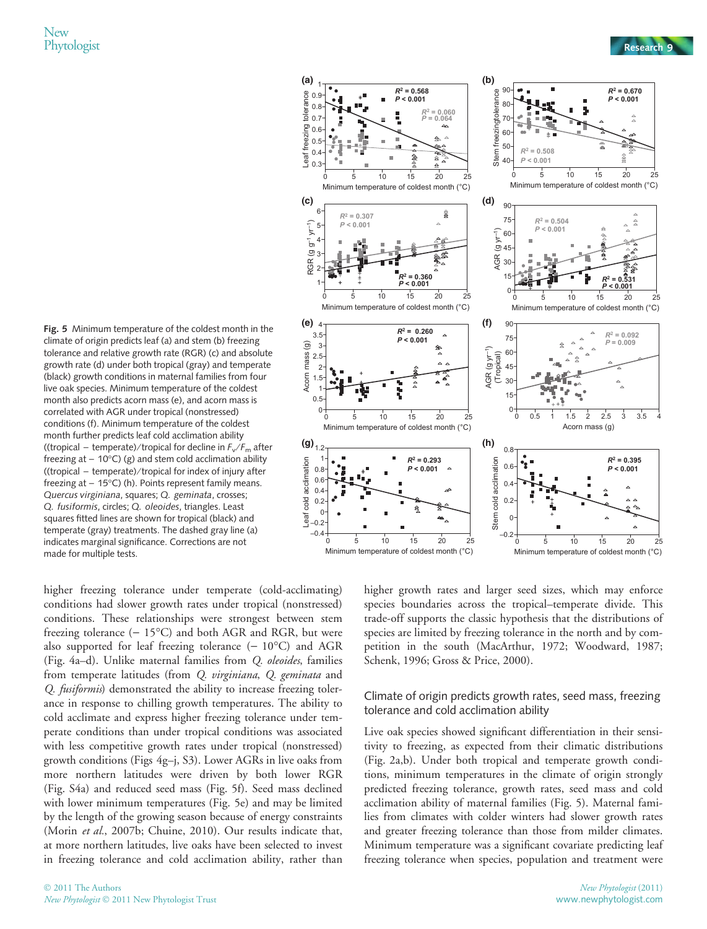Fig. 5 Minimum temperature of the coldest month in the climate of origin predicts leaf (a) and stem (b) freezing tolerance and relative growth rate (RGR) (c) and absolute growth rate (d) under both tropical (gray) and temperate (black) growth conditions in maternal families from four live oak species. Minimum temperature of the coldest month also predicts acorn mass (e), and acorn mass is correlated with AGR under tropical (nonstressed) conditions (f). Minimum temperature of the coldest month further predicts leaf cold acclimation ability ((tropical – temperate)/tropical for decline in  $F_v/F_m$  after freezing at  $-$  10°C) (g) and stem cold acclimation ability  $((tropical - temperature)/tropical for index of injury after$ freezing at  $-$  15°C) (h). Points represent family means. Quercus virginiana, squares; Q. geminata, crosses; Q. fusiformis, circles; Q. oleoides, triangles. Least squares fitted lines are shown for tropical (black) and temperate (gray) treatments. The dashed gray line (a) indicates marginal significance. Corrections are not made for multiple tests.

higher freezing tolerance under temperate (cold-acclimating) conditions had slower growth rates under tropical (nonstressed) conditions. These relationships were strongest between stem freezing tolerance  $(-15^{\circ}C)$  and both AGR and RGR, but were also supported for leaf freezing tolerance  $(-10^{\circ}C)$  and AGR (Fig. 4a–d). Unlike maternal families from Q. oleoides, families from temperate latitudes (from Q. virginiana, Q. geminata and Q. fusiformis) demonstrated the ability to increase freezing tolerance in response to chilling growth temperatures. The ability to cold acclimate and express higher freezing tolerance under temperate conditions than under tropical conditions was associated with less competitive growth rates under tropical (nonstressed) growth conditions (Figs 4g–j, S3). Lower AGRs in live oaks from more northern latitudes were driven by both lower RGR (Fig. S4a) and reduced seed mass (Fig. 5f). Seed mass declined with lower minimum temperatures (Fig. 5e) and may be limited by the length of the growing season because of energy constraints (Morin et al., 2007b; Chuine, 2010). Our results indicate that, at more northern latitudes, live oaks have been selected to invest in freezing tolerance and cold acclimation ability, rather than



**(b)**

**(a)** 

higher growth rates and larger seed sizes, which may enforce species boundaries across the tropical–temperate divide. This trade-off supports the classic hypothesis that the distributions of species are limited by freezing tolerance in the north and by competition in the south (MacArthur, 1972; Woodward, 1987; Schenk, 1996; Gross & Price, 2000).

# Climate of origin predicts growth rates, seed mass, freezing tolerance and cold acclimation ability

Live oak species showed significant differentiation in their sensitivity to freezing, as expected from their climatic distributions (Fig. 2a,b). Under both tropical and temperate growth conditions, minimum temperatures in the climate of origin strongly predicted freezing tolerance, growth rates, seed mass and cold acclimation ability of maternal families (Fig. 5). Maternal families from climates with colder winters had slower growth rates and greater freezing tolerance than those from milder climates. Minimum temperature was a significant covariate predicting leaf freezing tolerance when species, population and treatment were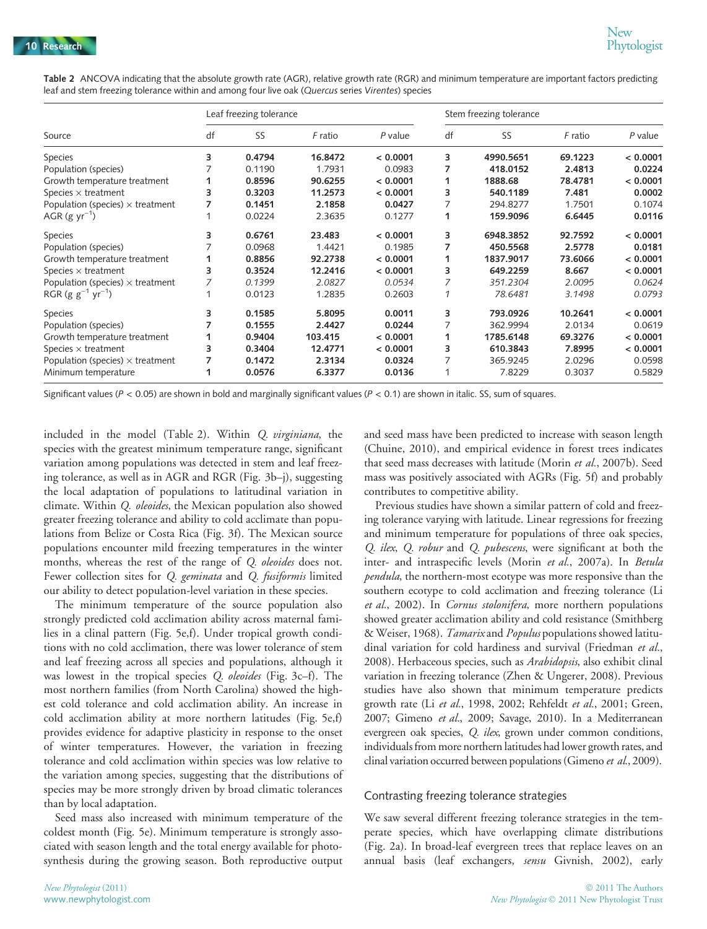|                                         | Leaf freezing tolerance |        |         |           |    | Stem freezing tolerance |         |          |  |
|-----------------------------------------|-------------------------|--------|---------|-----------|----|-------------------------|---------|----------|--|
| Source                                  | df                      | SS     | F ratio | $P$ value | df | SS                      | F ratio | P value  |  |
| <b>Species</b>                          | 3                       | 0.4794 | 16.8472 | < 0.0001  | 3  | 4990.5651               | 69.1223 | < 0.0001 |  |
| Population (species)                    |                         | 0.1190 | 1.7931  | 0.0983    | 7  | 418.0152                | 2.4813  | 0.0224   |  |
| Growth temperature treatment            |                         | 0.8596 | 90.6255 | < 0.0001  | 1  | 1888.68                 | 78,4781 | < 0.0001 |  |
| Species $\times$ treatment              | 3                       | 0.3203 | 11.2573 | < 0.0001  | 3  | 540.1189                | 7.481   | 0.0002   |  |
| Population (species) $\times$ treatment | 7                       | 0.1451 | 2.1858  | 0.0427    | 7  | 294.8277                | 1.7501  | 0.1074   |  |
| AGR (g $yr^{-1}$ )                      |                         | 0.0224 | 2.3635  | 0.1277    | 1  | 159.9096                | 6.6445  | 0.0116   |  |
| <b>Species</b>                          | 3                       | 0.6761 | 23.483  | < 0.0001  | 3  | 6948.3852               | 92.7592 | < 0.0001 |  |
| Population (species)                    |                         | 0.0968 | 1.4421  | 0.1985    | 7  | 450.5568                | 2.5778  | 0.0181   |  |
| Growth temperature treatment            |                         | 0.8856 | 92.2738 | < 0.0001  | 1  | 1837.9017               | 73.6066 | < 0.0001 |  |
| Species $\times$ treatment              | 3                       | 0.3524 | 12.2416 | < 0.0001  | 3  | 649.2259                | 8.667   | < 0.0001 |  |
| Population (species) $\times$ treatment | 7                       | 0.1399 | 2.0827  | 0.0534    | 7  | 351.2304                | 2.0095  | 0.0624   |  |
| RGR (g $g^{-1}$ yr <sup>-1</sup> )      |                         | 0.0123 | 1.2835  | 0.2603    | 1  | 78.6481                 | 3.1498  | 0.0793   |  |
| <b>Species</b>                          | 3                       | 0.1585 | 5.8095  | 0.0011    | 3  | 793.0926                | 10.2641 | < 0.0001 |  |
| Population (species)                    |                         | 0.1555 | 2.4427  | 0.0244    | 7  | 362.9994                | 2.0134  | 0.0619   |  |
| Growth temperature treatment            |                         | 0.9404 | 103.415 | < 0.0001  | 1  | 1785.6148               | 69.3276 | < 0.0001 |  |
| Species $\times$ treatment              | 3                       | 0.3404 | 12.4771 | < 0.0001  | 3  | 610.3843                | 7.8995  | < 0.0001 |  |
| Population (species) $\times$ treatment |                         | 0.1472 | 2.3134  | 0.0324    | 7  | 365.9245                | 2.0296  | 0.0598   |  |
| Minimum temperature                     |                         | 0.0576 | 6.3377  | 0.0136    | 1  | 7.8229                  | 0.3037  | 0.5829   |  |

Table 2 ANCOVA indicating that the absolute growth rate (AGR), relative growth rate (RGR) and minimum temperature are important factors predicting leaf and stem freezing tolerance within and among four live oak (Quercus series Virentes) species

Significant values ( $P < 0.05$ ) are shown in bold and marginally significant values ( $P < 0.1$ ) are shown in italic. SS, sum of squares.

included in the model (Table 2). Within Q. virginiana, the species with the greatest minimum temperature range, significant variation among populations was detected in stem and leaf freezing tolerance, as well as in AGR and RGR (Fig. 3b–j), suggesting the local adaptation of populations to latitudinal variation in climate. Within Q. oleoides, the Mexican population also showed greater freezing tolerance and ability to cold acclimate than populations from Belize or Costa Rica (Fig. 3f). The Mexican source populations encounter mild freezing temperatures in the winter months, whereas the rest of the range of Q. oleoides does not. Fewer collection sites for Q. geminata and Q. fusiformis limited our ability to detect population-level variation in these species.

The minimum temperature of the source population also strongly predicted cold acclimation ability across maternal families in a clinal pattern (Fig. 5e,f). Under tropical growth conditions with no cold acclimation, there was lower tolerance of stem and leaf freezing across all species and populations, although it was lowest in the tropical species Q. oleoides (Fig. 3c–f). The most northern families (from North Carolina) showed the highest cold tolerance and cold acclimation ability. An increase in cold acclimation ability at more northern latitudes (Fig. 5e,f) provides evidence for adaptive plasticity in response to the onset of winter temperatures. However, the variation in freezing tolerance and cold acclimation within species was low relative to the variation among species, suggesting that the distributions of species may be more strongly driven by broad climatic tolerances than by local adaptation.

Seed mass also increased with minimum temperature of the coldest month (Fig. 5e). Minimum temperature is strongly associated with season length and the total energy available for photosynthesis during the growing season. Both reproductive output

and seed mass have been predicted to increase with season length (Chuine, 2010), and empirical evidence in forest trees indicates that seed mass decreases with latitude (Morin et al., 2007b). Seed mass was positively associated with AGRs (Fig. 5f) and probably contributes to competitive ability.

Previous studies have shown a similar pattern of cold and freezing tolerance varying with latitude. Linear regressions for freezing and minimum temperature for populations of three oak species, Q. ilex, Q. robur and Q. pubescens, were significant at both the inter- and intraspecific levels (Morin et al., 2007a). In Betula pendula, the northern-most ecotype was more responsive than the southern ecotype to cold acclimation and freezing tolerance (Li et al., 2002). In Cornus stolonifera, more northern populations showed greater acclimation ability and cold resistance (Smithberg & Weiser, 1968). Tamarix and Populus populations showed latitudinal variation for cold hardiness and survival (Friedman et al., 2008). Herbaceous species, such as Arabidopsis, also exhibit clinal variation in freezing tolerance (Zhen & Ungerer, 2008). Previous studies have also shown that minimum temperature predicts growth rate (Li et al., 1998, 2002; Rehfeldt et al., 2001; Green, 2007; Gimeno et al., 2009; Savage, 2010). In a Mediterranean evergreen oak species, Q. ilex, grown under common conditions, individuals from more northern latitudes had lower growth rates, and clinal variation occurred between populations (Gimeno et al., 2009).

#### Contrasting freezing tolerance strategies

We saw several different freezing tolerance strategies in the temperate species, which have overlapping climate distributions (Fig. 2a). In broad-leaf evergreen trees that replace leaves on an annual basis (leaf exchangers, sensu Givnish, 2002), early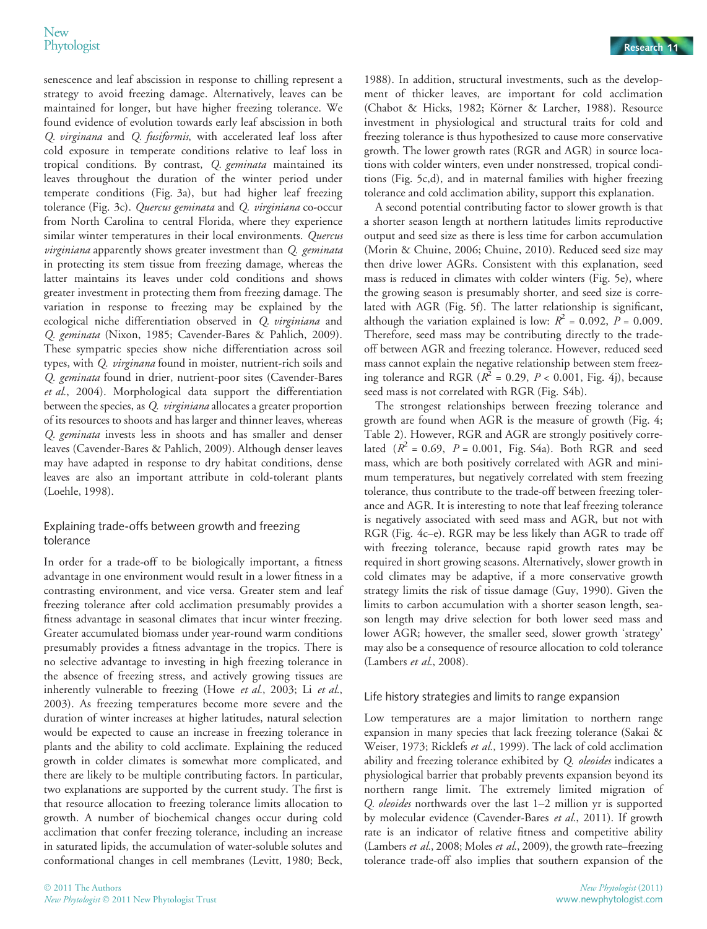senescence and leaf abscission in response to chilling represent a strategy to avoid freezing damage. Alternatively, leaves can be maintained for longer, but have higher freezing tolerance. We found evidence of evolution towards early leaf abscission in both Q. virginana and Q. fusiformis, with accelerated leaf loss after cold exposure in temperate conditions relative to leaf loss in tropical conditions. By contrast, Q. geminata maintained its leaves throughout the duration of the winter period under temperate conditions (Fig. 3a), but had higher leaf freezing tolerance (Fig. 3c). Quercus geminata and Q. virginiana co-occur from North Carolina to central Florida, where they experience similar winter temperatures in their local environments. Quercus virginiana apparently shows greater investment than Q. geminata in protecting its stem tissue from freezing damage, whereas the latter maintains its leaves under cold conditions and shows greater investment in protecting them from freezing damage. The variation in response to freezing may be explained by the ecological niche differentiation observed in Q. virginiana and Q. geminata (Nixon, 1985; Cavender-Bares & Pahlich, 2009). These sympatric species show niche differentiation across soil types, with Q. virginana found in moister, nutrient-rich soils and Q. geminata found in drier, nutrient-poor sites (Cavender-Bares et al., 2004). Morphological data support the differentiation between the species, as Q. virginiana allocates a greater proportion of its resources to shoots and has larger and thinner leaves, whereas Q. geminata invests less in shoots and has smaller and denser leaves (Cavender-Bares & Pahlich, 2009). Although denser leaves may have adapted in response to dry habitat conditions, dense leaves are also an important attribute in cold-tolerant plants (Loehle, 1998).

# Explaining trade-offs between growth and freezing tolerance

In order for a trade-off to be biologically important, a fitness advantage in one environment would result in a lower fitness in a contrasting environment, and vice versa. Greater stem and leaf freezing tolerance after cold acclimation presumably provides a fitness advantage in seasonal climates that incur winter freezing. Greater accumulated biomass under year-round warm conditions presumably provides a fitness advantage in the tropics. There is no selective advantage to investing in high freezing tolerance in the absence of freezing stress, and actively growing tissues are inherently vulnerable to freezing (Howe et al., 2003; Li et al., 2003). As freezing temperatures become more severe and the duration of winter increases at higher latitudes, natural selection would be expected to cause an increase in freezing tolerance in plants and the ability to cold acclimate. Explaining the reduced growth in colder climates is somewhat more complicated, and there are likely to be multiple contributing factors. In particular, two explanations are supported by the current study. The first is that resource allocation to freezing tolerance limits allocation to growth. A number of biochemical changes occur during cold acclimation that confer freezing tolerance, including an increase in saturated lipids, the accumulation of water-soluble solutes and conformational changes in cell membranes (Levitt, 1980; Beck,

1988). In addition, structural investments, such as the development of thicker leaves, are important for cold acclimation (Chabot & Hicks, 1982; Körner & Larcher, 1988). Resource investment in physiological and structural traits for cold and freezing tolerance is thus hypothesized to cause more conservative growth. The lower growth rates (RGR and AGR) in source locations with colder winters, even under nonstressed, tropical conditions (Fig. 5c,d), and in maternal families with higher freezing tolerance and cold acclimation ability, support this explanation.

A second potential contributing factor to slower growth is that a shorter season length at northern latitudes limits reproductive output and seed size as there is less time for carbon accumulation (Morin & Chuine, 2006; Chuine, 2010). Reduced seed size may then drive lower AGRs. Consistent with this explanation, seed mass is reduced in climates with colder winters (Fig. 5e), where the growing season is presumably shorter, and seed size is correlated with AGR (Fig. 5f). The latter relationship is significant, although the variation explained is low:  $R^2 = 0.092$ ,  $P = 0.009$ . Therefore, seed mass may be contributing directly to the tradeoff between AGR and freezing tolerance. However, reduced seed mass cannot explain the negative relationship between stem freezing tolerance and RGR ( $R^2$  = 0.29,  $P < 0.001$ , Fig. 4j), because seed mass is not correlated with RGR (Fig. S4b).

The strongest relationships between freezing tolerance and growth are found when AGR is the measure of growth (Fig. 4; Table 2). However, RGR and AGR are strongly positively correlated  $(R^2 = 0.69, P = 0.001, Fig. S4a)$ . Both RGR and seed mass, which are both positively correlated with AGR and minimum temperatures, but negatively correlated with stem freezing tolerance, thus contribute to the trade-off between freezing tolerance and AGR. It is interesting to note that leaf freezing tolerance is negatively associated with seed mass and AGR, but not with RGR (Fig. 4c–e). RGR may be less likely than AGR to trade off with freezing tolerance, because rapid growth rates may be required in short growing seasons. Alternatively, slower growth in cold climates may be adaptive, if a more conservative growth strategy limits the risk of tissue damage (Guy, 1990). Given the limits to carbon accumulation with a shorter season length, season length may drive selection for both lower seed mass and lower AGR; however, the smaller seed, slower growth 'strategy' may also be a consequence of resource allocation to cold tolerance (Lambers et al., 2008).

# Life history strategies and limits to range expansion

Low temperatures are a major limitation to northern range expansion in many species that lack freezing tolerance (Sakai & Weiser, 1973; Ricklefs et al., 1999). The lack of cold acclimation ability and freezing tolerance exhibited by Q. oleoides indicates a physiological barrier that probably prevents expansion beyond its northern range limit. The extremely limited migration of Q. oleoides northwards over the last 1–2 million yr is supported by molecular evidence (Cavender-Bares et al., 2011). If growth rate is an indicator of relative fitness and competitive ability (Lambers et al., 2008; Moles et al., 2009), the growth rate–freezing tolerance trade-off also implies that southern expansion of the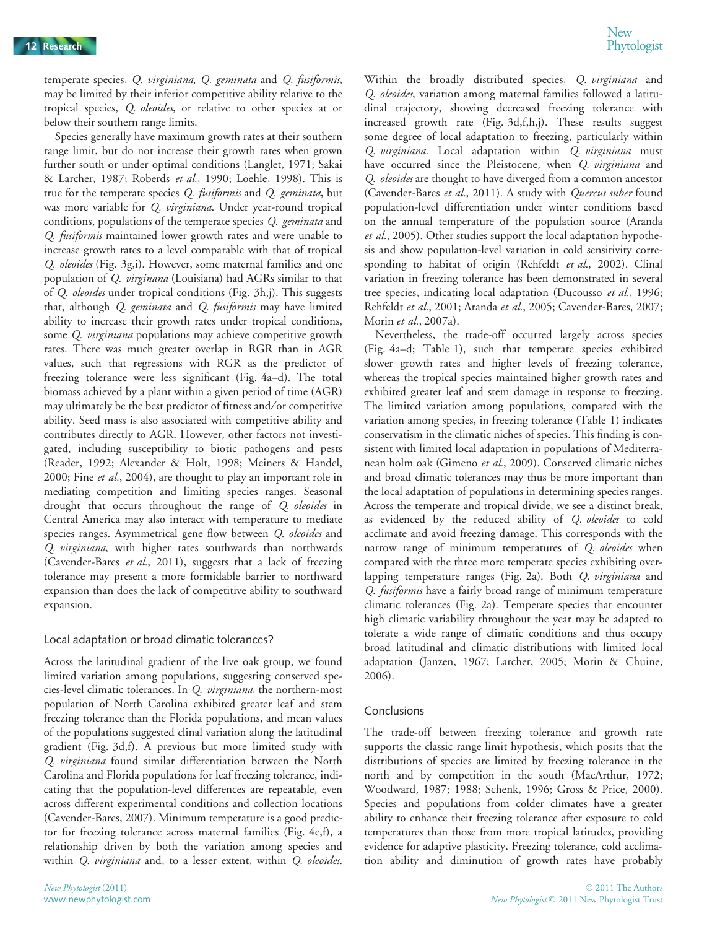temperate species, Q. virginiana, Q. geminata and Q. fusiformis, may be limited by their inferior competitive ability relative to the tropical species, Q. oleoides, or relative to other species at or below their southern range limits.

Species generally have maximum growth rates at their southern range limit, but do not increase their growth rates when grown further south or under optimal conditions (Langlet, 1971; Sakai & Larcher, 1987; Roberds et al., 1990; Loehle, 1998). This is true for the temperate species Q. fusiformis and Q. geminata, but was more variable for Q. virginiana. Under year-round tropical conditions, populations of the temperate species Q. geminata and Q. fusiformis maintained lower growth rates and were unable to increase growth rates to a level comparable with that of tropical Q. oleoides (Fig. 3g,i). However, some maternal families and one population of Q. virginana (Louisiana) had AGRs similar to that of Q. oleoides under tropical conditions (Fig. 3h,j). This suggests that, although Q. geminata and Q. fusiformis may have limited ability to increase their growth rates under tropical conditions, some Q. virginiana populations may achieve competitive growth rates. There was much greater overlap in RGR than in AGR values, such that regressions with RGR as the predictor of freezing tolerance were less significant (Fig. 4a–d). The total biomass achieved by a plant within a given period of time (AGR) may ultimately be the best predictor of fitness and ⁄ or competitive ability. Seed mass is also associated with competitive ability and contributes directly to AGR. However, other factors not investigated, including susceptibility to biotic pathogens and pests (Reader, 1992; Alexander & Holt, 1998; Meiners & Handel, 2000; Fine et al., 2004), are thought to play an important role in mediating competition and limiting species ranges. Seasonal drought that occurs throughout the range of Q. oleoides in Central America may also interact with temperature to mediate species ranges. Asymmetrical gene flow between Q. oleoides and Q. virginiana, with higher rates southwards than northwards (Cavender-Bares et al., 2011), suggests that a lack of freezing tolerance may present a more formidable barrier to northward expansion than does the lack of competitive ability to southward expansion.

#### Local adaptation or broad climatic tolerances?

Across the latitudinal gradient of the live oak group, we found limited variation among populations, suggesting conserved species-level climatic tolerances. In Q. virginiana, the northern-most population of North Carolina exhibited greater leaf and stem freezing tolerance than the Florida populations, and mean values of the populations suggested clinal variation along the latitudinal gradient (Fig. 3d,f). A previous but more limited study with Q. virginiana found similar differentiation between the North Carolina and Florida populations for leaf freezing tolerance, indicating that the population-level differences are repeatable, even across different experimental conditions and collection locations (Cavender-Bares, 2007). Minimum temperature is a good predictor for freezing tolerance across maternal families (Fig. 4e,f), a relationship driven by both the variation among species and within Q. virginiana and, to a lesser extent, within Q. oleoides.

Within the broadly distributed species, Q. virginiana and Q. oleoides, variation among maternal families followed a latitudinal trajectory, showing decreased freezing tolerance with increased growth rate (Fig. 3d,f,h,j). These results suggest some degree of local adaptation to freezing, particularly within Q. virginiana. Local adaptation within Q. virginiana must have occurred since the Pleistocene, when Q. virginiana and Q. oleoides are thought to have diverged from a common ancestor (Cavender-Bares et al., 2011). A study with Quercus suber found population-level differentiation under winter conditions based on the annual temperature of the population source (Aranda et al., 2005). Other studies support the local adaptation hypothesis and show population-level variation in cold sensitivity corresponding to habitat of origin (Rehfeldt et al., 2002). Clinal variation in freezing tolerance has been demonstrated in several tree species, indicating local adaptation (Ducousso et al., 1996; Rehfeldt et al., 2001; Aranda et al., 2005; Cavender-Bares, 2007; Morin et al., 2007a).

Nevertheless, the trade-off occurred largely across species (Fig. 4a–d; Table 1), such that temperate species exhibited slower growth rates and higher levels of freezing tolerance, whereas the tropical species maintained higher growth rates and exhibited greater leaf and stem damage in response to freezing. The limited variation among populations, compared with the variation among species, in freezing tolerance (Table 1) indicates conservatism in the climatic niches of species. This finding is consistent with limited local adaptation in populations of Mediterranean holm oak (Gimeno et al., 2009). Conserved climatic niches and broad climatic tolerances may thus be more important than the local adaptation of populations in determining species ranges. Across the temperate and tropical divide, we see a distinct break, as evidenced by the reduced ability of Q. oleoides to cold acclimate and avoid freezing damage. This corresponds with the narrow range of minimum temperatures of Q. oleoides when compared with the three more temperate species exhibiting overlapping temperature ranges (Fig. 2a). Both Q. virginiana and Q. fusiformis have a fairly broad range of minimum temperature climatic tolerances (Fig. 2a). Temperate species that encounter high climatic variability throughout the year may be adapted to tolerate a wide range of climatic conditions and thus occupy broad latitudinal and climatic distributions with limited local adaptation (Janzen, 1967; Larcher, 2005; Morin & Chuine, 2006).

#### Conclusions

The trade-off between freezing tolerance and growth rate supports the classic range limit hypothesis, which posits that the distributions of species are limited by freezing tolerance in the north and by competition in the south (MacArthur, 1972; Woodward, 1987; 1988; Schenk, 1996; Gross & Price, 2000). Species and populations from colder climates have a greater ability to enhance their freezing tolerance after exposure to cold temperatures than those from more tropical latitudes, providing evidence for adaptive plasticity. Freezing tolerance, cold acclimation ability and diminution of growth rates have probably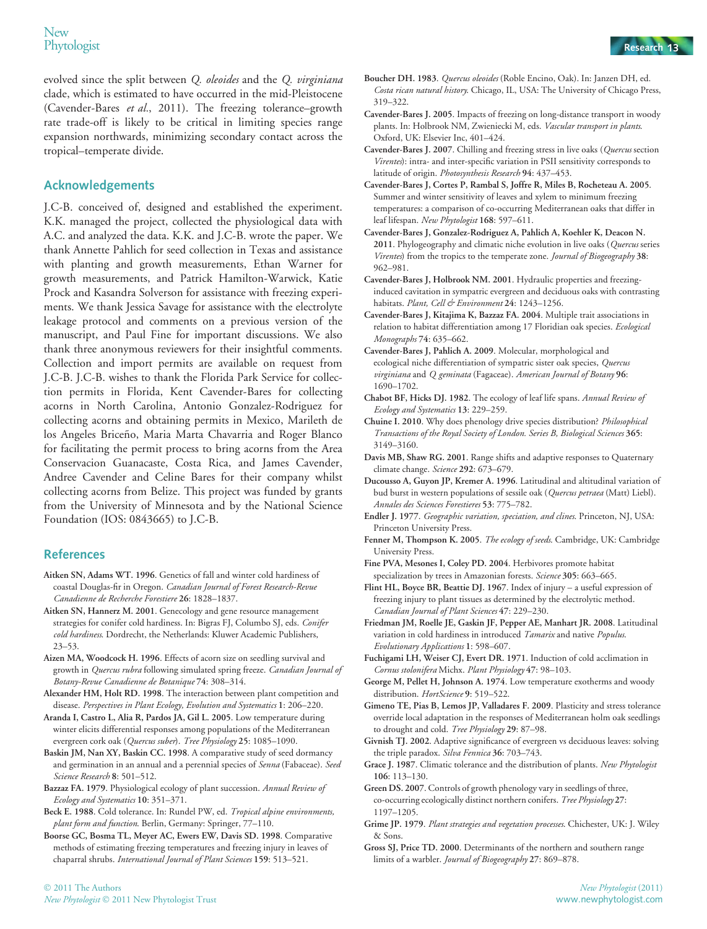

evolved since the split between Q. oleoides and the Q. virginiana clade, which is estimated to have occurred in the mid-Pleistocene (Cavender-Bares et al., 2011). The freezing tolerance–growth rate trade-off is likely to be critical in limiting species range expansion northwards, minimizing secondary contact across the tropical–temperate divide.

# Acknowledgements

J.C-B. conceived of, designed and established the experiment. K.K. managed the project, collected the physiological data with A.C. and analyzed the data. K.K. and J.C-B. wrote the paper. We thank Annette Pahlich for seed collection in Texas and assistance with planting and growth measurements, Ethan Warner for growth measurements, and Patrick Hamilton-Warwick, Katie Prock and Kasandra Solverson for assistance with freezing experiments. We thank Jessica Savage for assistance with the electrolyte leakage protocol and comments on a previous version of the manuscript, and Paul Fine for important discussions. We also thank three anonymous reviewers for their insightful comments. Collection and import permits are available on request from J.C-B. J.C-B. wishes to thank the Florida Park Service for collection permits in Florida, Kent Cavender-Bares for collecting acorns in North Carolina, Antonio Gonzalez-Rodriguez for collecting acorns and obtaining permits in Mexico, Marileth de los Angeles Briceño, Maria Marta Chavarria and Roger Blanco for facilitating the permit process to bring acorns from the Area Conservacion Guanacaste, Costa Rica, and James Cavender, Andree Cavender and Celine Bares for their company whilst collecting acorns from Belize. This project was funded by grants from the University of Minnesota and by the National Science Foundation (IOS: 0843665) to J.C-B.

# References

- Aitken SN, Adams WT. 1996. Genetics of fall and winter cold hardiness of coastal Douglas-fir in Oregon. Canadian Journal of Forest Research-Revue Canadienne de Recherche Forestiere 26: 1828–1837.
- Aitken SN, Hannerz M. 2001. Genecology and gene resource management strategies for conifer cold hardiness. In: Bigras FJ, Columbo SJ, eds. Conifer cold hardiness. Dordrecht, the Netherlands: Kluwer Academic Publishers, 23–53.
- Aizen MA, Woodcock H. 1996. Effects of acorn size on seedling survival and growth in Quercus rubra following simulated spring freeze. Canadian Journal of Botany-Revue Canadienne de Botanique 74: 308–314.
- Alexander HM, Holt RD. 1998. The interaction between plant competition and disease. Perspectives in Plant Ecology, Evolution and Systematics 1: 206–220.
- Aranda I, Castro L, Alia R, Pardos JA, Gil L. 2005. Low temperature during winter elicits differential responses among populations of the Mediterranean evergreen cork oak (Quercus suber). Tree Physiology 25: 1085–1090.
- Baskin JM, Nan XY, Baskin CC. 1998. A comparative study of seed dormancy and germination in an annual and a perennial species of Senna (Fabaceae). Seed Science Research 8: 501–512.
- Bazzaz FA. 1979. Physiological ecology of plant succession. Annual Review of Ecology and Systematics 10: 351–371.
- Beck E. 1988. Cold tolerance. In: Rundel PW, ed. Tropical alpine environments, plant form and function. Berlin, Germany: Springer, 77–110.
- Boorse GC, Bosma TL, Meyer AC, Ewers EW, Davis SD. 1998. Comparative methods of estimating freezing temperatures and freezing injury in leaves of chaparral shrubs. International Journal of Plant Sciences 159: 513–521.
- Boucher DH. 1983. Quercus oleoides (Roble Encino, Oak). In: Janzen DH, ed. Costa rican natural history. Chicago, IL, USA: The University of Chicago Press, 319–322.
- Cavender-Bares J. 2005. Impacts of freezing on long-distance transport in woody plants. In: Holbrook NM, Zwieniecki M, eds. Vascular transport in plants. Oxford, UK: Elsevier Inc, 401–424.
- Cavender-Bares J. 2007. Chilling and freezing stress in live oaks (Quercus section Virentes): intra- and inter-specific variation in PSII sensitivity corresponds to latitude of origin. Photosynthesis Research 94: 437–453.
- Cavender-Bares J, Cortes P, Rambal S, Joffre R, Miles B, Rocheteau A. 2005. Summer and winter sensitivity of leaves and xylem to minimum freezing temperatures: a comparison of co-occurring Mediterranean oaks that differ in leaf lifespan. New Phytologist 168: 597–611.
- Cavender-Bares J, Gonzalez-Rodriguez A, Pahlich A, Koehler K, Deacon N. 2011. Phylogeography and climatic niche evolution in live oaks (Quercus series Virentes) from the tropics to the temperate zone. Journal of Biogeography 38: 962–981.
- Cavender-Bares J, Holbrook NM. 2001. Hydraulic properties and freezinginduced cavitation in sympatric evergreen and deciduous oaks with contrasting habitats. Plant, Cell & Environment 24: 1243-1256.
- Cavender-Bares J, Kitajima K, Bazzaz FA. 2004. Multiple trait associations in relation to habitat differentiation among 17 Floridian oak species. Ecological Monographs 74: 635–662.
- Cavender-Bares J, Pahlich A. 2009. Molecular, morphological and ecological niche differentiation of sympatric sister oak species, Quercus virginiana and Q geminata (Fagaceae). American Journal of Botany 96: 1690–1702.
- Chabot BF, Hicks DJ. 1982. The ecology of leaf life spans. Annual Review of Ecology and Systematics 13: 229–259.
- Chuine I. 2010. Why does phenology drive species distribution? Philosophical Transactions of the Royal Society of London. Series B, Biological Sciences 365: 3149–3160.
- Davis MB, Shaw RG. 2001. Range shifts and adaptive responses to Quaternary climate change. Science 292: 673-679.
- Ducousso A, Guyon JP, Kremer A. 1996. Latitudinal and altitudinal variation of bud burst in western populations of sessile oak (Quercus petraea (Matt) Liebl). Annales des Sciences Forestieres 53: 775–782.
- Endler J. 1977. Geographic variation, speciation, and clines. Princeton, NJ, USA: Princeton University Press.
- Fenner M, Thompson K. 2005. The ecology of seeds. Cambridge, UK: Cambridge University Press.
- Fine PVA, Mesones I, Coley PD. 2004. Herbivores promote habitat specialization by trees in Amazonian forests. Science 305: 663-665.
- Flint HL, Boyce BR, Beattie DJ. 1967. Index of injury a useful expression of freezing injury to plant tissues as determined by the electrolytic method. Canadian Journal of Plant Sciences 47: 229–230.
- Friedman JM, Roelle JE, Gaskin JF, Pepper AE, Manhart JR. 2008. Latitudinal variation in cold hardiness in introduced Tamarix and native Populus. Evolutionary Applications 1: 598–607.
- Fuchigami LH, Weiser CJ, Evert DR. 1971. Induction of cold acclimation in Cornus stolonifera Michx. Plant Physiology 47: 98–103.
- George M, Pellet H, Johnson A. 1974. Low temperature exotherms and woody distribution. HortScience 9: 519-522.
- Gimeno TE, Pias B, Lemos JP, Valladares F. 2009. Plasticity and stress tolerance override local adaptation in the responses of Mediterranean holm oak seedlings to drought and cold. Tree Physiology 29: 87–98.
- Givnish TJ. 2002. Adaptive significance of evergreen vs deciduous leaves: solving the triple paradox. Silva Fennica 36: 703–743.
- Grace J. 1987. Climatic tolerance and the distribution of plants. New Phytologist 106: 113–130.
- Green DS. 2007. Controls of growth phenology vary in seedlings of three, co-occurring ecologically distinct northern conifers. Tree Physiology 27: 1197–1205.
- Grime JP. 1979. Plant strategies and vegetation processes. Chichester, UK: J. Wiley & Sons.
- Gross SJ, Price TD. 2000. Determinants of the northern and southern range limits of a warbler. Journal of Biogeography 27: 869–878.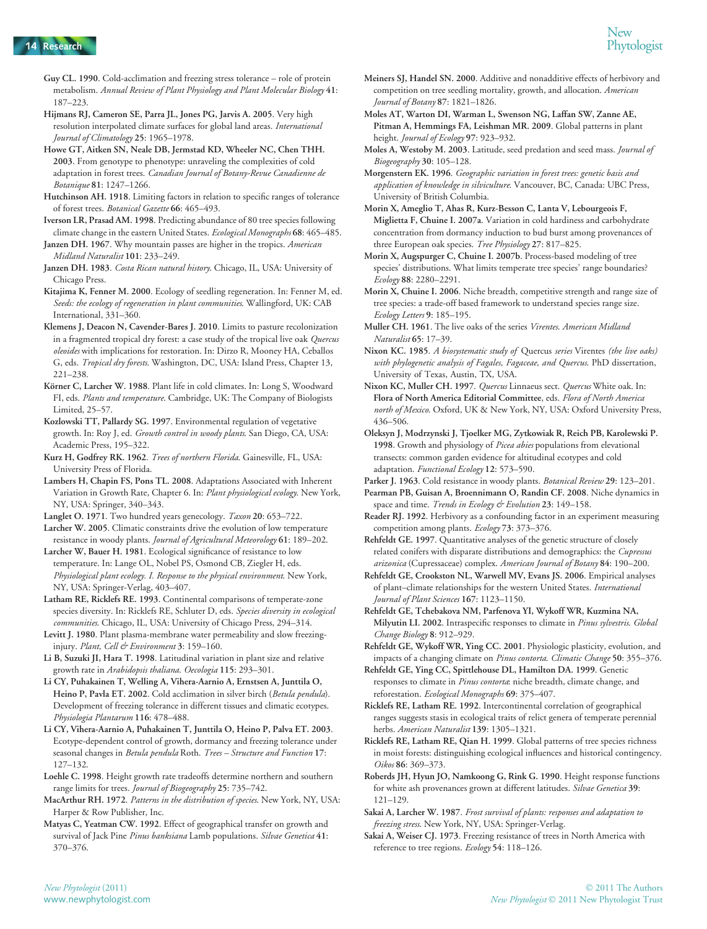- Guy CL. 1990. Cold-acclimation and freezing stress tolerance role of protein metabolism. Annual Review of Plant Physiology and Plant Molecular Biology 41: 187–223.
- Hijmans RJ, Cameron SE, Parra JL, Jones PG, Jarvis A. 2005. Very high resolution interpolated climate surfaces for global land areas. International Journal of Climatology 25: 1965–1978.
- Howe GT, Aitken SN, Neale DB, Jermstad KD, Wheeler NC, Chen THH. 2003. From genotype to phenotype: unraveling the complexities of cold adaptation in forest trees. Canadian Journal of Botany-Revue Canadienne de Botanique 81: 1247–1266.
- Hutchinson AH. 1918. Limiting factors in relation to specific ranges of tolerance of forest trees. Botanical Gazette 66: 465–493.
- Iverson LR, Prasad AM. 1998. Predicting abundance of 80 tree species following climate change in the eastern United States. Ecological Monographs 68: 465–485.
- Janzen DH. 1967. Why mountain passes are higher in the tropics. American Midland Naturalist 101: 233–249.
- Janzen DH. 1983. Costa Rican natural history. Chicago, IL, USA: University of Chicago Press.
- Kitajima K, Fenner M. 2000. Ecology of seedling regeneration. In: Fenner M, ed. Seeds: the ecology of regeneration in plant communities. Wallingford, UK: CAB International, 331–360.
- Klemens J, Deacon N, Cavender-Bares J. 2010. Limits to pasture recolonization in a fragmented tropical dry forest: a case study of the tropical live oak Quercus oleoides with implications for restoration. In: Dirzo R, Mooney HA, Ceballos G, eds. Tropical dry forests. Washington, DC, USA: Island Press, Chapter 13, 221–238.
- Körner C, Larcher W. 1988. Plant life in cold climates. In: Long S, Woodward FI, eds. Plants and temperature. Cambridge, UK: The Company of Biologists Limited, 25–57.
- Kozlowski TT, Pallardy SG. 1997. Environmental regulation of vegetative growth. In: Roy J, ed. Growth control in woody plants. San Diego, CA, USA: Academic Press, 195–322.
- Kurz H, Godfrey RK. 1962. Trees of northern Florida. Gainesville, FL, USA: University Press of Florida.
- Lambers H, Chapin FS, Pons TL. 2008. Adaptations Associated with Inherent Variation in Growth Rate, Chapter 6. In: Plant physiological ecology. New York, NY, USA: Springer, 340–343.
- Langlet O. 1971. Two hundred years genecology. Taxon 20: 653-722.
- Larcher W. 2005. Climatic constraints drive the evolution of low temperature resistance in woody plants. Journal of Agricultural Meteorology 61: 189–202.
- Larcher W, Bauer H. 1981. Ecological significance of resistance to low temperature. In: Lange OL, Nobel PS, Osmond CB, Ziegler H, eds. Physiological plant ecology. I. Response to the physical environment. New York, NY, USA: Springer-Verlag, 403–407.
- Latham RE, Ricklefs RE. 1993. Continental comparisons of temperate-zone species diversity. In: Ricklefs RE, Schluter D, eds. Species diversity in ecological communities. Chicago, IL, USA: University of Chicago Press, 294–314.
- Levitt J. 1980. Plant plasma-membrane water permeability and slow freezinginjury. Plant, Cell & Environment 3: 159-160.
- Li B, Suzuki JI, Hara T. 1998. Latitudinal variation in plant size and relative growth rate in Arabidopsis thaliana. Oecologia 115: 293–301.
- Li CY, Puhakainen T, Welling A, Vihera-Aarnio A, Ernstsen A, Junttila O, Heino P, Pavla ET. 2002. Cold acclimation in silver birch (Betula pendula). Development of freezing tolerance in different tissues and climatic ecotypes. Physiologia Plantarum 116: 478–488.
- Li CY, Vihera-Aarnio A, Puhakainen T, Junttila O, Heino P, Palva ET. 2003. Ecotype-dependent control of growth, dormancy and freezing tolerance under seasonal changes in Betula pendula Roth. Trees - Structure and Function 17: 127–132.
- Loehle C. 1998. Height growth rate tradeoffs determine northern and southern range limits for trees. Journal of Biogeography 25: 735–742.
- MacArthur RH. 1972. Patterns in the distribution of species. New York, NY, USA: Harper & Row Publisher, Inc.
- Matyas C, Yeatman CW. 1992. Effect of geographical transfer on growth and survival of Jack Pine Pinus banksiana Lamb populations. Silvae Genetica 41: 370–376.
- Meiners SJ, Handel SN. 2000. Additive and nonadditive effects of herbivory and competition on tree seedling mortality, growth, and allocation. American Journal of Botany 87: 1821–1826.
- Moles AT, Warton DI, Warman L, Swenson NG, Laffan SW, Zanne AE, Pitman A, Hemmings FA, Leishman MR. 2009. Global patterns in plant height. Journal of Ecology 97: 923–932.
- Moles A, Westoby M. 2003. Latitude, seed predation and seed mass. Journal of Biogeography 30: 105–128.
- Morgenstern EK. 1996. Geographic variation in forest trees: genetic basis and application of knowledge in silviculture. Vancouver, BC, Canada: UBC Press, University of British Columbia.
- Morin X, Ameglio T, Ahas R, Kurz-Besson C, Lanta V, Lebourgeois F, Miglietta F, Chuine I. 2007a. Variation in cold hardiness and carbohydrate concentration from dormancy induction to bud burst among provenances of three European oak species. Tree Physiology 27: 817–825.
- Morin X, Augspurger C, Chuine I. 2007b. Process-based modeling of tree species' distributions. What limits temperate tree species' range boundaries? Ecology 88: 2280–2291.
- Morin X, Chuine I. 2006. Niche breadth, competitive strength and range size of tree species: a trade-off based framework to understand species range size. Ecology Letters 9: 185–195.
- Muller CH. 1961. The live oaks of the series Virentes. American Midland Naturalist 65: 17–39.
- Nixon KC. 1985. A biosystematic study of Quercus series Virentes (the live oaks) with phylogenetic analysis of Fagales, Fagaceae, and Quercus. PhD dissertation, University of Texas, Austin, TX, USA.
- Nixon KC, Muller CH. 1997. Quercus Linnaeus sect. Quercus White oak. In: Flora of North America Editorial Committee, eds. Flora of North America north of Mexico. Oxford, UK & New York, NY, USA: Oxford University Press, 436–506.
- Oleksyn J, Modrzynski J, Tjoelker MG, Zytkowiak R, Reich PB, Karolewski P. 1998. Growth and physiology of Picea abies populations from elevational transects: common garden evidence for altitudinal ecotypes and cold adaptation. Functional Ecology 12: 573-590.
- Parker J. 1963. Cold resistance in woody plants. Botanical Review 29: 123-201.
- Pearman PB, Guisan A, Broennimann O, Randin CF. 2008. Niche dynamics in space and time. Trends in Ecology & Evolution 23: 149-158.
- Reader RJ. 1992. Herbivory as a confounding factor in an experiment measuring competition among plants. Ecology 73: 373–376.
- Rehfeldt GE. 1997. Quantitative analyses of the genetic structure of closely related conifers with disparate distributions and demographics: the Cupressus arizonica (Cupressaceae) complex. American Journal of Botany 84: 190-200.
- Rehfeldt GE, Crookston NL, Warwell MV, Evans JS. 2006. Empirical analyses of plant–climate relationships for the western United States. International Journal of Plant Sciences 167: 1123–1150.
- Rehfeldt GE, Tchebakova NM, Parfenova YI, Wykoff WR, Kuzmina NA, Milyutin LI. 2002. Intraspecific responses to climate in Pinus sylvestris. Global Change Biology 8: 912–929.
- Rehfeldt GE, Wykoff WR, Ying CC. 2001. Physiologic plasticity, evolution, and impacts of a changing climate on Pinus contorta. Climatic Change 50: 355–376.
- Rehfeldt GE, Ying CC, Spittlehouse DL, Hamilton DA. 1999. Genetic responses to climate in Pinus contorta: niche breadth, climate change, and reforestation. Ecological Monographs 69: 375–407.
- Ricklefs RE, Latham RE. 1992. Intercontinental correlation of geographical ranges suggests stasis in ecological traits of relict genera of temperate perennial herbs. American Naturalist 139: 1305–1321.
- Ricklefs RE, Latham RE, Qian H. 1999. Global patterns of tree species richness in moist forests: distinguishing ecological influences and historical contingency. Oikos 86: 369–373.
- Roberds JH, Hyun JO, Namkoong G, Rink G. 1990. Height response functions for white ash provenances grown at different latitudes. Silvae Genetica 39: 121–129.
- Sakai A, Larcher W. 1987. Frost survival of plants: responses and adaptation to freezing stress. New York, NY, USA: Springer-Verlag.
- Sakai A, Weiser CJ. 1973. Freezing resistance of trees in North America with reference to tree regions. Ecology 54: 118–126.